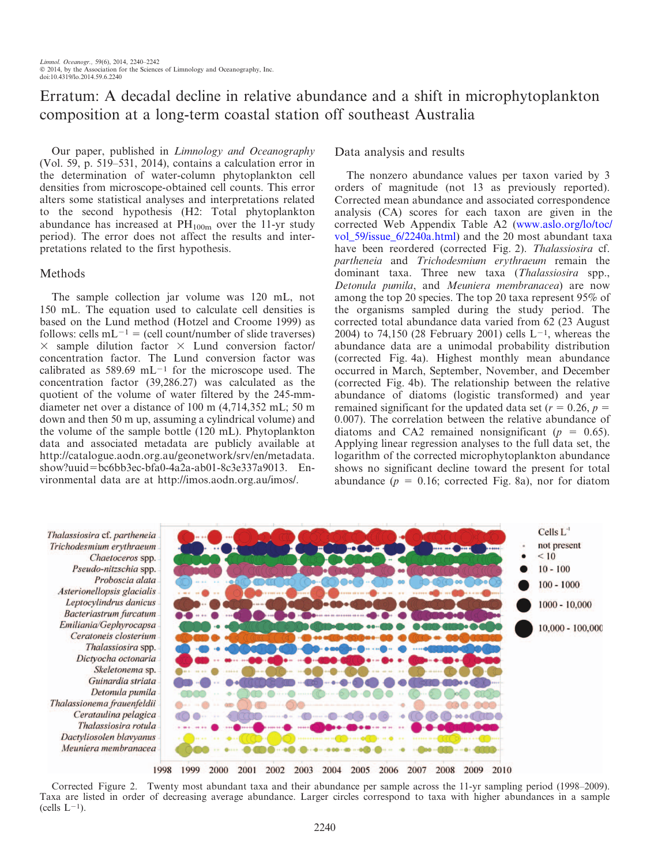# Erratum: A decadal decline in relative abundance and a shift in microphytoplankton composition at a long-term coastal station off southeast Australia

Our paper, published in Limnology and Oceanography (Vol. 59, p. 519–531, 2014), contains a calculation error in the determination of water-column phytoplankton cell densities from microscope-obtained cell counts. This error alters some statistical analyses and interpretations related to the second hypothesis (H2: Total phytoplankton abundance has increased at  $PH_{100m}$  over the 11-yr study period). The error does not affect the results and interpretations related to the first hypothesis.

## Methods

The sample collection jar volume was 120 mL, not 150 mL. The equation used to calculate cell densities is based on the Lund method (Hotzel and Croome 1999) as follows: cells  $mL^{-1}$  = (cell count/number of slide traverses)  $\times$  sample dilution factor  $\times$  Lund conversion factor/ concentration factor. The Lund conversion factor was calibrated as  $589.69$  mL<sup>-1</sup> for the microscope used. The concentration factor (39,286.27) was calculated as the quotient of the volume of water filtered by the 245-mmdiameter net over a distance of 100 m (4,714,352 mL; 50 m down and then 50 m up, assuming a cylindrical volume) and the volume of the sample bottle (120 mL). Phytoplankton data and associated metadata are publicly available at http://catalogue.aodn.org.au/geonetwork/srv/en/metadata. show?uuid=bc6bb3ec-bfa0-4a2a-ab01-8c3e337a9013. Environmental data are at http://imos.aodn.org.au/imos/.

## Data analysis and results

The nonzero abundance values per taxon varied by 3 orders of magnitude (not 13 as previously reported). Corrected mean abundance and associated correspondence analysis (CA) scores for each taxon are given in the corrected Web Appendix Table A2 (www.aslo.org/lo/toc/ vol 59/issue 6/2240a.html) and the 20 most abundant taxa have been reordered (corrected Fig. 2). Thalassiosira cf. partheneia and Trichodesmium erythraeum remain the dominant taxa. Three new taxa (Thalassiosira spp., Detonula pumila, and Meuniera membranacea) are now among the top 20 species. The top 20 taxa represent 95% of the organisms sampled during the study period. The corrected total abundance data varied from 62 (23 August 2004) to 74,150 (28 February 2001) cells  $L^{-1}$ , whereas the abundance data are a unimodal probability distribution (corrected Fig. 4a). Highest monthly mean abundance occurred in March, September, November, and December (corrected Fig. 4b). The relationship between the relative abundance of diatoms (logistic transformed) and year remained significant for the updated data set ( $r = 0.26$ ,  $p =$ 0.007). The correlation between the relative abundance of diatoms and CA2 remained nonsignificant ( $p = 0.65$ ). Applying linear regression analyses to the full data set, the logarithm of the corrected microphytoplankton abundance shows no significant decline toward the present for total abundance ( $p = 0.16$ ; corrected Fig. 8a), nor for diatom

Thalassiosira cf. partheneia Trichodesmium erythraeum Chaetoceros spp. Pseudo-nitzschia spp. Proboscia alata Asterionellopsis glacialis Leptocylindrus danicus Bacteriastrum furcatum Emiliania/Gephyrocapsa Ceratoneis closterium Thalassiosira spp. Dictyocha octonaria Skeletonema sp. Guinardia striata Detonula pumila Thalassionema frauenfeldii Cerataulina pelagica Thalassiosira rotula Dactyliosolen blavyanus Meuniera membranacea



Corrected Figure 2. Twenty most abundant taxa and their abundance per sample across the 11-yr sampling period (1998–2009). Taxa are listed in order of decreasing average abundance. Larger circles correspond to taxa with higher abundances in a sample  $(cells L<sup>-1</sup>).$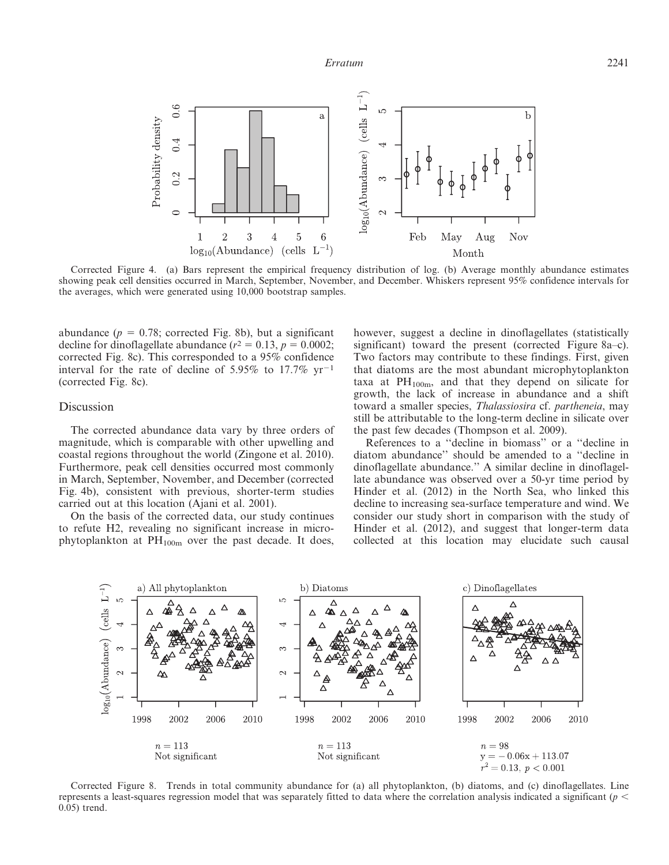

Corrected Figure 4. (a) Bars represent the empirical frequency distribution of log. (b) Average monthly abundance estimates showing peak cell densities occurred in March, September, November, and December. Whiskers represent 95% confidence intervals for the averages, which were generated using 10,000 bootstrap samples.

abundance ( $p = 0.78$ ; corrected Fig. 8b), but a significant decline for dinoflagellate abundance ( $r^2 = 0.13$ ,  $p = 0.0002$ ; corrected Fig. 8c). This corresponded to a 95% confidence interval for the rate of decline of 5.95% to 17.7%  $yr^{-1}$ (corrected Fig. 8c).

#### Discussion

The corrected abundance data vary by three orders of magnitude, which is comparable with other upwelling and coastal regions throughout the world (Zingone et al. 2010). Furthermore, peak cell densities occurred most commonly in March, September, November, and December (corrected Fig. 4b), consistent with previous, shorter-term studies carried out at this location (Ajani et al. 2001).

On the basis of the corrected data, our study continues to refute H2, revealing no significant increase in microphytoplankton at  $PH_{100m}$  over the past decade. It does, however, suggest a decline in dinoflagellates (statistically significant) toward the present (corrected Figure 8a–c). Two factors may contribute to these findings. First, given that diatoms are the most abundant microphytoplankton taxa at  $PH<sub>100m</sub>$ , and that they depend on silicate for growth, the lack of increase in abundance and a shift toward a smaller species, Thalassiosira cf. partheneia, may still be attributable to the long-term decline in silicate over the past few decades (Thompson et al. 2009).

References to a ''decline in biomass'' or a ''decline in diatom abundance'' should be amended to a ''decline in dinoflagellate abundance.'' A similar decline in dinoflagellate abundance was observed over a 50-yr time period by Hinder et al. (2012) in the North Sea, who linked this decline to increasing sea-surface temperature and wind. We consider our study short in comparison with the study of Hinder et al. (2012), and suggest that longer-term data collected at this location may elucidate such causal



Corrected Figure 8. Trends in total community abundance for (a) all phytoplankton, (b) diatoms, and (c) dinoflagellates. Line represents a least-squares regression model that was separately fitted to data where the correlation analysis indicated a significant ( $p$   $\leq$ 0.05) trend.